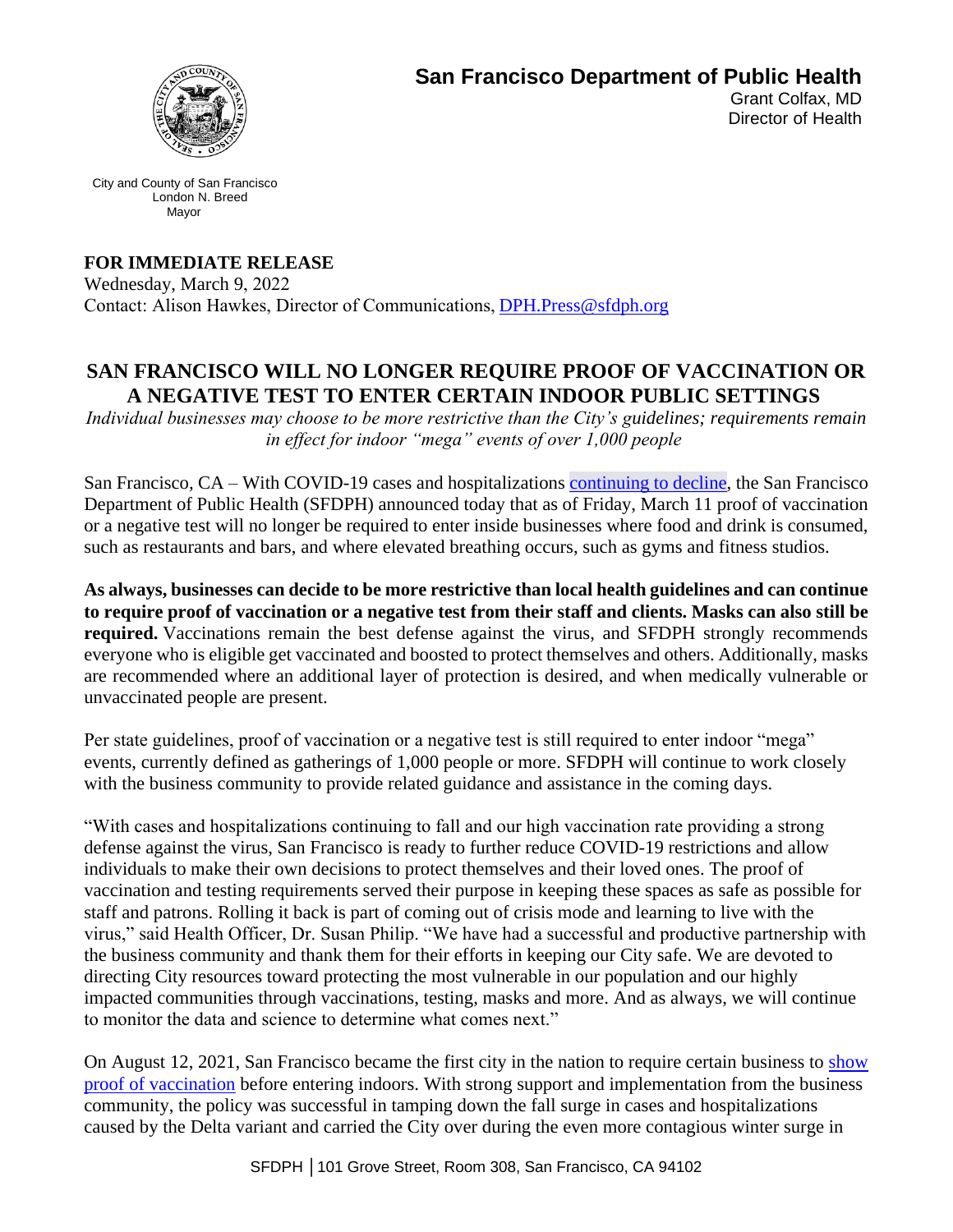

**San Francisco Department of Public Health** 

Grant Colfax, MD Director of Health

City and County of San Francisco London N. Breed Mayor

**FOR IMMEDIATE RELEASE** Wednesday, March 9, 2022  Contact: Alison Hawkes, Director of Communications, DPH.Press@sfdph.org

## **SAN FRANCISCO WILL NO LONGER REQUIRE PROOF OF VACCINATION OR A NEGATIVE TEST TO ENTER CERTAIN INDOOR PUBLIC SETTINGS**

*Individual businesses may choose to be more restrictive than the City's guidelines; requirements remain in effect for indoor "mega" events of over 1,000 people*

San Francisco, CA – With COVID-19 cases and hospitalizations continuing to decline, the San Francisco Department of Public Health (SFDPH) announced today that as of Friday, March 11 proof of vaccination or a negative test will no longer be required to enter inside businesses where food and drink is consumed, such as restaurants and bars, and where elevated breathing occurs, such as gyms and fitness studios.

**As always, businesses can decide to be more restrictive than local health guidelines and can continue to require proof of vaccination or a negative test from their staff and clients. Masks can also still be required.** Vaccinations remain the best defense against the virus, and SFDPH strongly recommends everyone who is eligible get vaccinated and boosted to protect themselves and others. Additionally, masks are recommended where an additional layer of protection is desired, and when medically vulnerable or unvaccinated people are present.

Per state guidelines, proof of vaccination or a negative test is still required to enter indoor "mega" events, currently defined as gatherings of 1,000 people or more. SFDPH will continue to work closely with the business community to provide related guidance and assistance in the coming days.

"With cases and hospitalizations continuing to fall and our high vaccination rate providing a strong defense against the virus, San Francisco is ready to further reduce COVID-19 restrictions and allow individuals to make their own decisions to protect themselves and their loved ones. The proof of vaccination and testing requirements served their purpose in keeping these spaces as safe as possible for staff and patrons. Rolling it back is part of coming out of crisis mode and learning to live with the virus," said Health Officer, Dr. Susan Philip. "We have had a successful and productive partnership with the business community and thank them for their efforts in keeping our City safe. We are devoted to directing City resources toward protecting the most vulnerable in our population and our highly impacted communities through vaccinations, testing, masks and more. And as always, we will continue to monitor the data and science to determine what comes next."

On August 12, 2021, San Francisco became the first city in the nation to require certain business to show proof of vaccination before entering indoors. With strong support and implementation from the business community, the policy was successful in tamping down the fall surge in cases and hospitalizations caused by the Delta variant and carried the City over during the even more contagious winter surge in